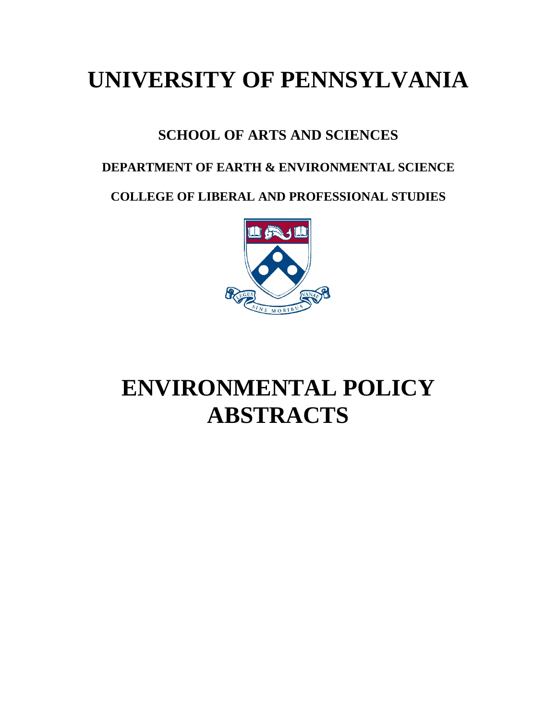# **UNIVERSITY OF PENNSYLVANIA**

# **SCHOOL OF ARTS AND SCIENCES**

# **DEPARTMENT OF EARTH & ENVIRONMENTAL SCIENCE**

**COLLEGE OF LIBERAL AND PROFESSIONAL STUDIES**



# **ENVIRONMENTAL POLICY ABSTRACTS**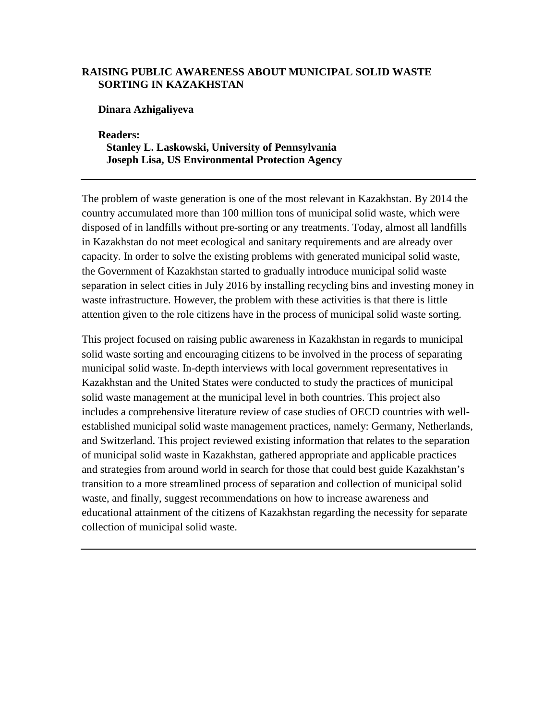## **RAISING PUBLIC AWARENESS ABOUT MUNICIPAL SOLID WASTE SORTING IN KAZAKHSTAN**

**Dinara Azhigaliyeva**

**Readers: Stanley L. Laskowski, University of Pennsylvania Joseph Lisa, US Environmental Protection Agency**

The problem of waste generation is one of the most relevant in Kazakhstan. By 2014 the country accumulated more than 100 million tons of municipal solid waste, which were disposed of in landfills without pre-sorting or any treatments. Today, almost all landfills in Kazakhstan do not meet ecological and sanitary requirements and are already over capacity. In order to solve the existing problems with generated municipal solid waste, the Government of Kazakhstan started to gradually introduce municipal solid waste separation in select cities in July 2016 by installing recycling bins and investing money in waste infrastructure. However, the problem with these activities is that there is little attention given to the role citizens have in the process of municipal solid waste sorting.

This project focused on raising public awareness in Kazakhstan in regards to municipal solid waste sorting and encouraging citizens to be involved in the process of separating municipal solid waste. In-depth interviews with local government representatives in Kazakhstan and the United States were conducted to study the practices of municipal solid waste management at the municipal level in both countries. This project also includes a comprehensive literature review of case studies of OECD countries with wellestablished municipal solid waste management practices, namely: Germany, Netherlands, and Switzerland. This project reviewed existing information that relates to the separation of municipal solid waste in Kazakhstan, gathered appropriate and applicable practices and strategies from around world in search for those that could best guide Kazakhstan's transition to a more streamlined process of separation and collection of municipal solid waste, and finally, suggest recommendations on how to increase awareness and educational attainment of the citizens of Kazakhstan regarding the necessity for separate collection of municipal solid waste.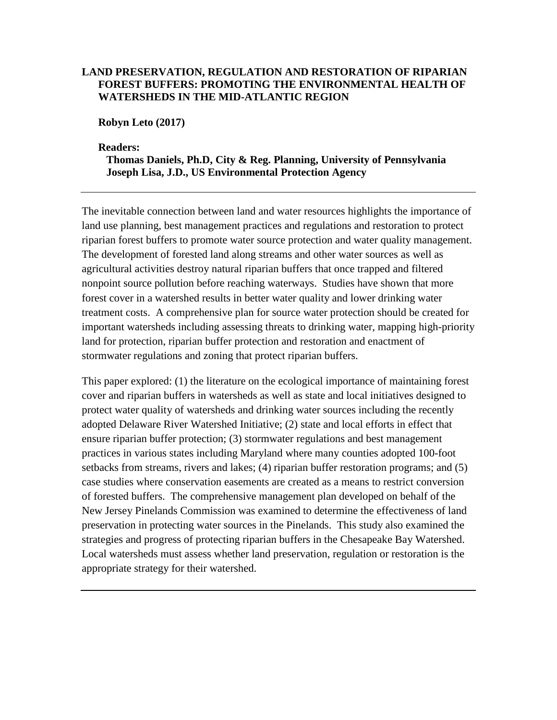# **LAND PRESERVATION, REGULATION AND RESTORATION OF RIPARIAN FOREST BUFFERS: PROMOTING THE ENVIRONMENTAL HEALTH OF WATERSHEDS IN THE MID-ATLANTIC REGION**

**Robyn Leto (2017)**

#### **Readers:**

**Thomas Daniels, Ph.D, City & Reg. Planning, University of Pennsylvania Joseph Lisa, J.D., US Environmental Protection Agency**

The inevitable connection between land and water resources highlights the importance of land use planning, best management practices and regulations and restoration to protect riparian forest buffers to promote water source protection and water quality management. The development of forested land along streams and other water sources as well as agricultural activities destroy natural riparian buffers that once trapped and filtered nonpoint source pollution before reaching waterways. Studies have shown that more forest cover in a watershed results in better water quality and lower drinking water treatment costs. A comprehensive plan for source water protection should be created for important watersheds including assessing threats to drinking water, mapping high-priority land for protection, riparian buffer protection and restoration and enactment of stormwater regulations and zoning that protect riparian buffers.

This paper explored: (1) the literature on the ecological importance of maintaining forest cover and riparian buffers in watersheds as well as state and local initiatives designed to protect water quality of watersheds and drinking water sources including the recently adopted Delaware River Watershed Initiative; (2) state and local efforts in effect that ensure riparian buffer protection; (3) stormwater regulations and best management practices in various states including Maryland where many counties adopted 100-foot setbacks from streams, rivers and lakes; (4) riparian buffer restoration programs; and (5) case studies where conservation easements are created as a means to restrict conversion of forested buffers. The comprehensive management plan developed on behalf of the New Jersey Pinelands Commission was examined to determine the effectiveness of land preservation in protecting water sources in the Pinelands. This study also examined the strategies and progress of protecting riparian buffers in the Chesapeake Bay Watershed. Local watersheds must assess whether land preservation, regulation or restoration is the appropriate strategy for their watershed.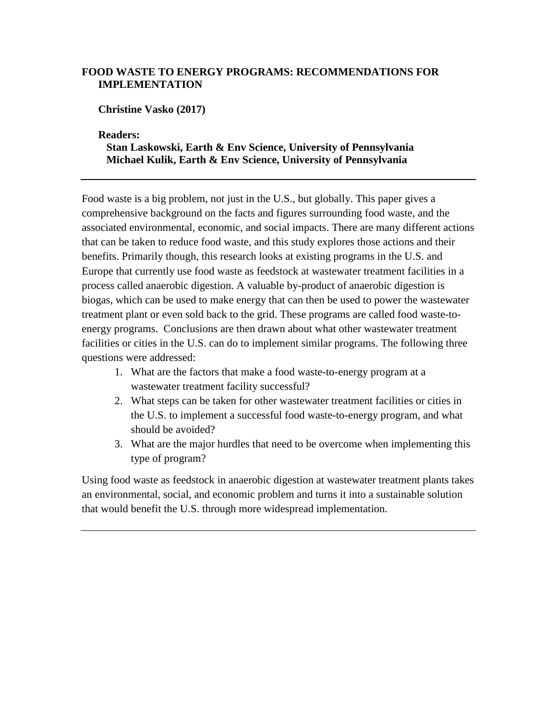# **FOOD WASTE TO ENERGY PROGRAMS: RECOMMENDATIONS FOR IMPLEMENTATION**

**Christine Vasko (2017)**

**Readers:** 

# **Stan Laskowski, Earth & Env Science, University of Pennsylvania Michael Kulik, Earth & Env Science, University of Pennsylvania**

Food waste is a big problem, not just in the U.S., but globally. This paper gives a comprehensive background on the facts and figures surrounding food waste, and the associated environmental, economic, and social impacts. There are many different actions that can be taken to reduce food waste, and this study explores those actions and their benefits. Primarily though, this research looks at existing programs in the U.S. and Europe that currently use food waste as feedstock at wastewater treatment facilities in a process called anaerobic digestion. A valuable by-product of anaerobic digestion is biogas, which can be used to make energy that can then be used to power the wastewater treatment plant or even sold back to the grid. These programs are called food waste-toenergy programs. Conclusions are then drawn about what other wastewater treatment facilities or cities in the U.S. can do to implement similar programs. The following three questions were addressed:

- 1. What are the factors that make a food waste-to-energy program at a wastewater treatment facility successful?
- 2. What steps can be taken for other wastewater treatment facilities or cities in the U.S. to implement a successful food waste-to-energy program, and what should be avoided?
- 3. What are the major hurdles that need to be overcome when implementing this type of program?

Using food waste as feedstock in anaerobic digestion at wastewater treatment plants takes an environmental, social, and economic problem and turns it into a sustainable solution that would benefit the U.S. through more widespread implementation.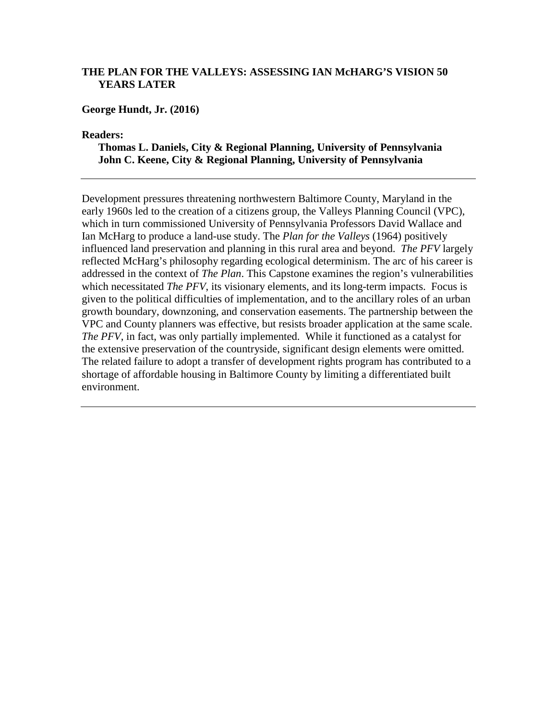## **THE PLAN FOR THE VALLEYS: ASSESSING IAN McHARG'S VISION 50 YEARS LATER**

**George Hundt, Jr. (2016)**

**Readers:**

**Thomas L. Daniels, City & Regional Planning, University of Pennsylvania John C. Keene, City & Regional Planning, University of Pennsylvania**

Development pressures threatening northwestern Baltimore County, Maryland in the early 1960s led to the creation of a citizens group, the Valleys Planning Council (VPC), which in turn commissioned University of Pennsylvania Professors David Wallace and Ian McHarg to produce a land-use study. The *Plan for the Valleys* (1964) positively influenced land preservation and planning in this rural area and beyond. *The PFV* largely reflected McHarg's philosophy regarding ecological determinism. The arc of his career is addressed in the context of *The Plan*. This Capstone examines the region's vulnerabilities which necessitated *The PFV*, its visionary elements, and its long-term impacts. Focus is given to the political difficulties of implementation, and to the ancillary roles of an urban growth boundary, downzoning, and conservation easements. The partnership between the VPC and County planners was effective, but resists broader application at the same scale. *The PFV*, in fact, was only partially implemented. While it functioned as a catalyst for the extensive preservation of the countryside, significant design elements were omitted. The related failure to adopt a transfer of development rights program has contributed to a shortage of affordable housing in Baltimore County by limiting a differentiated built environment.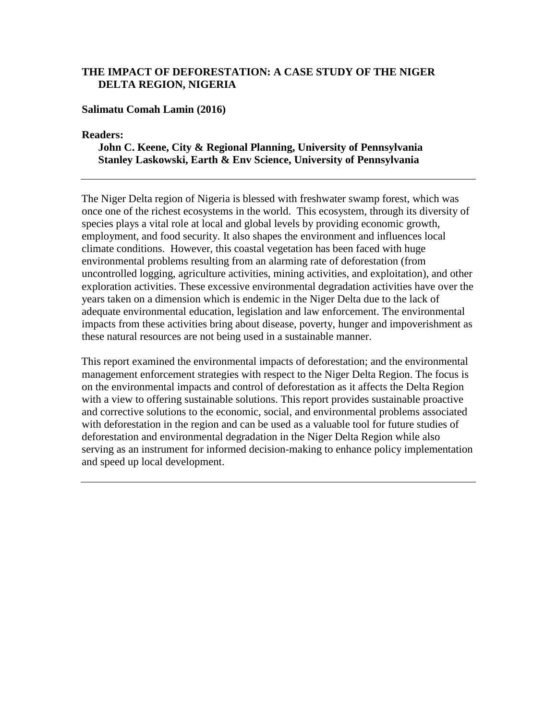# **THE IMPACT OF DEFORESTATION: A CASE STUDY OF THE NIGER DELTA REGION, NIGERIA**

#### **Salimatu Comah Lamin (2016)**

**Readers:** 

#### **John C. Keene, City & Regional Planning, University of Pennsylvania Stanley Laskowski, Earth & Env Science, University of Pennsylvania**

The Niger Delta region of Nigeria is blessed with freshwater swamp forest, which was once one of the richest ecosystems in the world. This ecosystem, through its diversity of species plays a vital role at local and global levels by providing economic growth, employment, and food security. It also shapes the environment and influences local climate conditions. However, this coastal vegetation has been faced with huge environmental problems resulting from an alarming rate of deforestation (from uncontrolled logging, agriculture activities, mining activities, and exploitation), and other exploration activities. These excessive environmental degradation activities have over the years taken on a dimension which is endemic in the Niger Delta due to the lack of adequate environmental education, legislation and law enforcement. The environmental impacts from these activities bring about disease, poverty, hunger and impoverishment as these natural resources are not being used in a sustainable manner.

This report examined the environmental impacts of deforestation; and the environmental management enforcement strategies with respect to the Niger Delta Region. The focus is on the environmental impacts and control of deforestation as it affects the Delta Region with a view to offering sustainable solutions. This report provides sustainable proactive and corrective solutions to the economic, social, and environmental problems associated with deforestation in the region and can be used as a valuable tool for future studies of deforestation and environmental degradation in the Niger Delta Region while also serving as an instrument for informed decision-making to enhance policy implementation and speed up local development.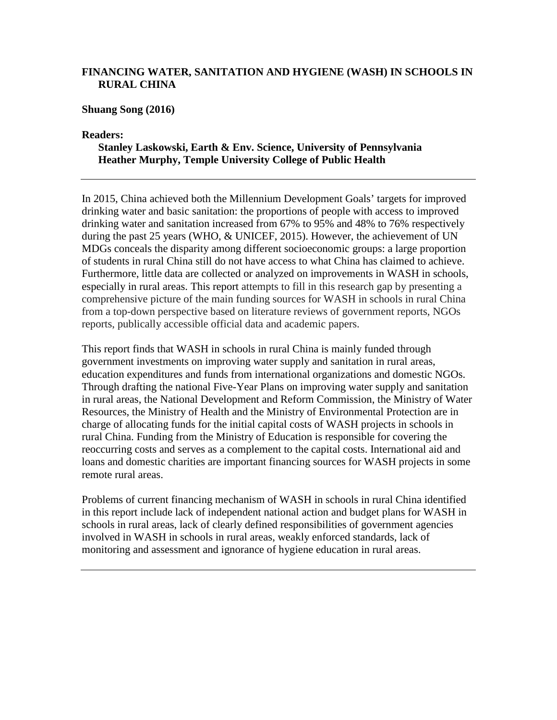# **FINANCING WATER, SANITATION AND HYGIENE (WASH) IN SCHOOLS IN RURAL CHINA**

**Shuang Song (2016)**

**Readers:**

# **Stanley Laskowski, Earth & Env. Science, University of Pennsylvania Heather Murphy, Temple University College of Public Health**

In 2015, China achieved both the Millennium Development Goals' targets for improved drinking water and basic sanitation: the proportions of people with access to improved drinking water and sanitation increased from 67% to 95% and 48% to 76% respectively during the past 25 years (WHO, & UNICEF, 2015). However, the achievement of UN MDGs conceals the disparity among different socioeconomic groups: a large proportion of students in rural China still do not have access to what China has claimed to achieve. Furthermore, little data are collected or analyzed on improvements in WASH in schools, especially in rural areas. This report attempts to fill in this research gap by presenting a comprehensive picture of the main funding sources for WASH in schools in rural China from a top-down perspective based on literature reviews of government reports, NGOs reports, publically accessible official data and academic papers.

This report finds that WASH in schools in rural China is mainly funded through government investments on improving water supply and sanitation in rural areas, education expenditures and funds from international organizations and domestic NGOs. Through drafting the national Five-Year Plans on improving water supply and sanitation in rural areas, the National Development and Reform Commission, the Ministry of Water Resources, the Ministry of Health and the Ministry of Environmental Protection are in charge of allocating funds for the initial capital costs of WASH projects in schools in rural China. Funding from the Ministry of Education is responsible for covering the reoccurring costs and serves as a complement to the capital costs. International aid and loans and domestic charities are important financing sources for WASH projects in some remote rural areas.

Problems of current financing mechanism of WASH in schools in rural China identified in this report include lack of independent national action and budget plans for WASH in schools in rural areas, lack of clearly defined responsibilities of government agencies involved in WASH in schools in rural areas, weakly enforced standards, lack of monitoring and assessment and ignorance of hygiene education in rural areas.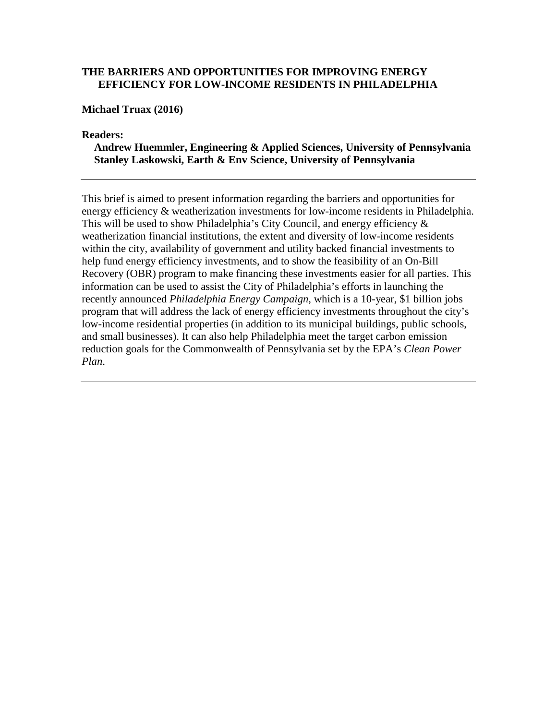## **THE BARRIERS AND OPPORTUNITIES FOR IMPROVING ENERGY EFFICIENCY FOR LOW-INCOME RESIDENTS IN PHILADELPHIA**

**Michael Truax (2016)**

**Readers:**

**Andrew Huemmler, Engineering & Applied Sciences, University of Pennsylvania Stanley Laskowski, Earth & Env Science, University of Pennsylvania**

This brief is aimed to present information regarding the barriers and opportunities for energy efficiency & weatherization investments for low-income residents in Philadelphia. This will be used to show Philadelphia's City Council, and energy efficiency  $\&$ weatherization financial institutions, the extent and diversity of low-income residents within the city, availability of government and utility backed financial investments to help fund energy efficiency investments, and to show the feasibility of an On-Bill Recovery (OBR) program to make financing these investments easier for all parties. This information can be used to assist the City of Philadelphia's efforts in launching the recently announced *Philadelphia Energy Campaign*, which is a 10-year, \$1 billion jobs program that will address the lack of energy efficiency investments throughout the city's low-income residential properties (in addition to its municipal buildings, public schools, and small businesses). It can also help Philadelphia meet the target carbon emission reduction goals for the Commonwealth of Pennsylvania set by the EPA's *Clean Power Plan*.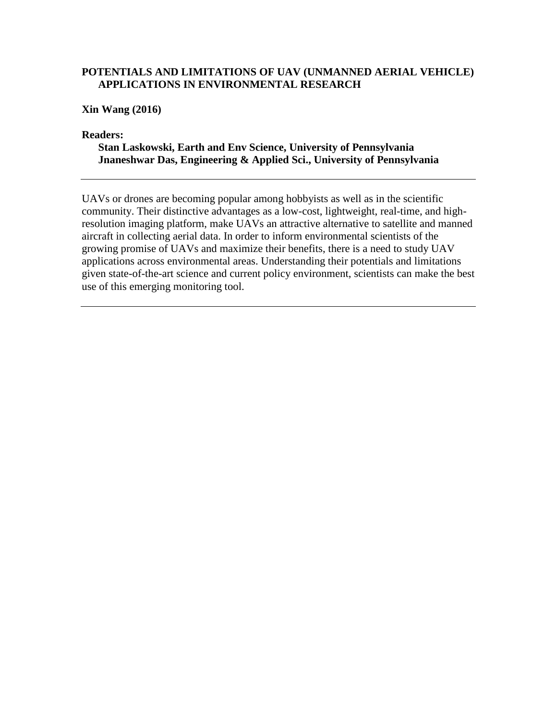#### **POTENTIALS AND LIMITATIONS OF UAV (UNMANNED AERIAL VEHICLE) APPLICATIONS IN ENVIRONMENTAL RESEARCH**

**Xin Wang (2016)**

**Readers:**

**Stan Laskowski, Earth and Env Science, University of Pennsylvania Jnaneshwar Das, Engineering & Applied Sci., University of Pennsylvania**

UAVs or drones are becoming popular among hobbyists as well as in the scientific community. Their distinctive advantages as a low-cost, lightweight, real-time, and highresolution imaging platform, make UAVs an attractive alternative to satellite and manned aircraft in collecting aerial data. In order to inform environmental scientists of the growing promise of UAVs and maximize their benefits, there is a need to study UAV applications across environmental areas. Understanding their potentials and limitations given state-of-the-art science and current policy environment, scientists can make the best use of this emerging monitoring tool.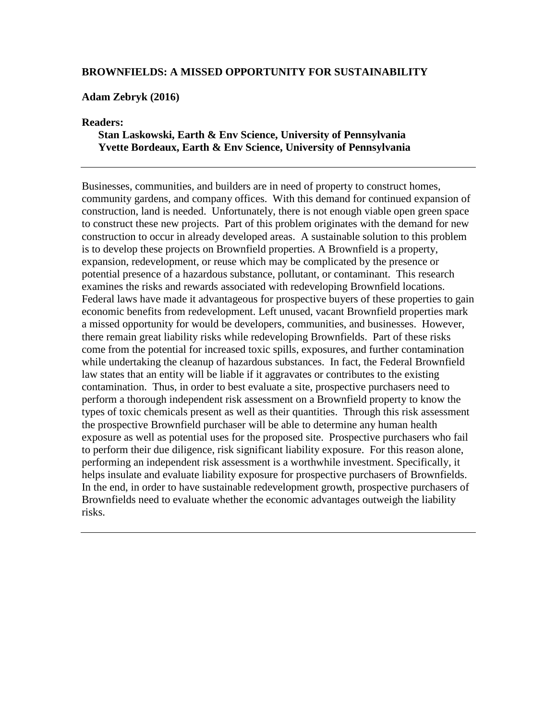#### **BROWNFIELDS: A MISSED OPPORTUNITY FOR SUSTAINABILITY**

#### **Adam Zebryk (2016)**

#### **Readers:**

#### **Stan Laskowski, Earth & Env Science, University of Pennsylvania Yvette Bordeaux, Earth & Env Science, University of Pennsylvania**

Businesses, communities, and builders are in need of property to construct homes, community gardens, and company offices. With this demand for continued expansion of construction, land is needed. Unfortunately, there is not enough viable open green space to construct these new projects. Part of this problem originates with the demand for new construction to occur in already developed areas. A sustainable solution to this problem is to develop these projects on Brownfield properties. A Brownfield is a property, expansion, redevelopment, or reuse which may be complicated by the presence or potential presence of a hazardous substance, pollutant, or contaminant. This research examines the risks and rewards associated with redeveloping Brownfield locations. Federal laws have made it advantageous for prospective buyers of these properties to gain economic benefits from redevelopment. Left unused, vacant Brownfield properties mark a missed opportunity for would be developers, communities, and businesses. However, there remain great liability risks while redeveloping Brownfields. Part of these risks come from the potential for increased toxic spills, exposures, and further contamination while undertaking the cleanup of hazardous substances. In fact, the Federal Brownfield law states that an entity will be liable if it aggravates or contributes to the existing contamination. Thus, in order to best evaluate a site, prospective purchasers need to perform a thorough independent risk assessment on a Brownfield property to know the types of toxic chemicals present as well as their quantities. Through this risk assessment the prospective Brownfield purchaser will be able to determine any human health exposure as well as potential uses for the proposed site. Prospective purchasers who fail to perform their due diligence, risk significant liability exposure. For this reason alone, performing an independent risk assessment is a worthwhile investment. Specifically, it helps insulate and evaluate liability exposure for prospective purchasers of Brownfields. In the end, in order to have sustainable redevelopment growth, prospective purchasers of Brownfields need to evaluate whether the economic advantages outweigh the liability risks.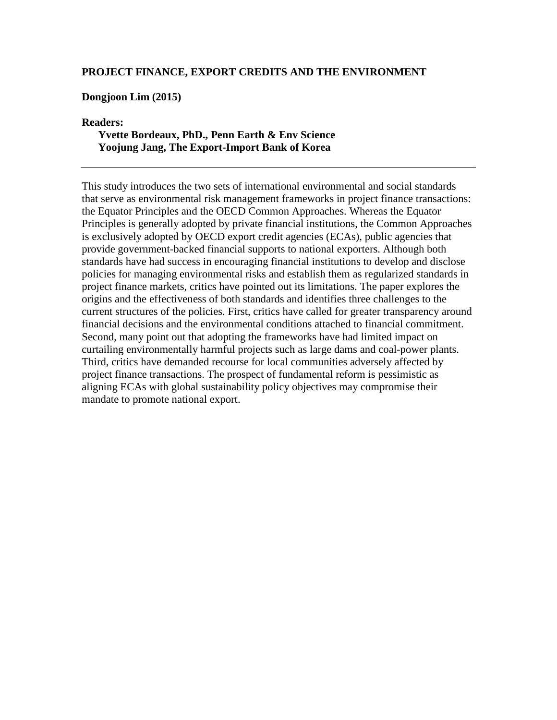#### **PROJECT FINANCE, EXPORT CREDITS AND THE ENVIRONMENT**

#### **Dongjoon Lim (2015)**

#### **Readers:**

#### **Yvette Bordeaux, PhD., Penn Earth & Env Science Yoojung Jang, The Export-Import Bank of Korea**

This study introduces the two sets of international environmental and social standards that serve as environmental risk management frameworks in project finance transactions: the Equator Principles and the OECD Common Approaches. Whereas the Equator Principles is generally adopted by private financial institutions, the Common Approaches is exclusively adopted by OECD export credit agencies (ECAs), public agencies that provide government-backed financial supports to national exporters. Although both standards have had success in encouraging financial institutions to develop and disclose policies for managing environmental risks and establish them as regularized standards in project finance markets, critics have pointed out its limitations. The paper explores the origins and the effectiveness of both standards and identifies three challenges to the current structures of the policies. First, critics have called for greater transparency around financial decisions and the environmental conditions attached to financial commitment. Second, many point out that adopting the frameworks have had limited impact on curtailing environmentally harmful projects such as large dams and coal-power plants. Third, critics have demanded recourse for local communities adversely affected by project finance transactions. The prospect of fundamental reform is pessimistic as aligning ECAs with global sustainability policy objectives may compromise their mandate to promote national export.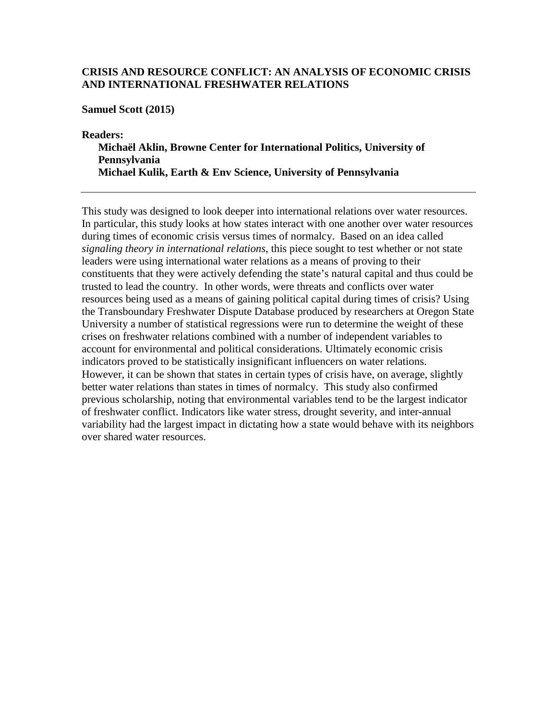#### **CRISIS AND RESOURCE CONFLICT: AN ANALYSIS OF ECONOMIC CRISIS AND INTERNATIONAL FRESHWATER RELATIONS**

**Samuel Scott (2015)**

**Readers: Michaël Aklin, Browne Center for International Politics, University of Pennsylvania Michael Kulik, Earth & Env Science, University of Pennsylvania**

This study was designed to look deeper into international relations over water resources. In particular, this study looks at how states interact with one another over water resources during times of economic crisis versus times of normalcy. Based on an idea called *signaling theory in international relations*, this piece sought to test whether or not state leaders were using international water relations as a means of proving to their constituents that they were actively defending the state's natural capital and thus could be trusted to lead the country. In other words, were threats and conflicts over water resources being used as a means of gaining political capital during times of crisis? Using the Transboundary Freshwater Dispute Database produced by researchers at Oregon State University a number of statistical regressions were run to determine the weight of these crises on freshwater relations combined with a number of independent variables to account for environmental and political considerations. Ultimately economic crisis indicators proved to be statistically insignificant influencers on water relations. However, it can be shown that states in certain types of crisis have, on average, slightly better water relations than states in times of normalcy. This study also confirmed previous scholarship, noting that environmental variables tend to be the largest indicator of freshwater conflict. Indicators like water stress, drought severity, and inter-annual variability had the largest impact in dictating how a state would behave with its neighbors over shared water resources.